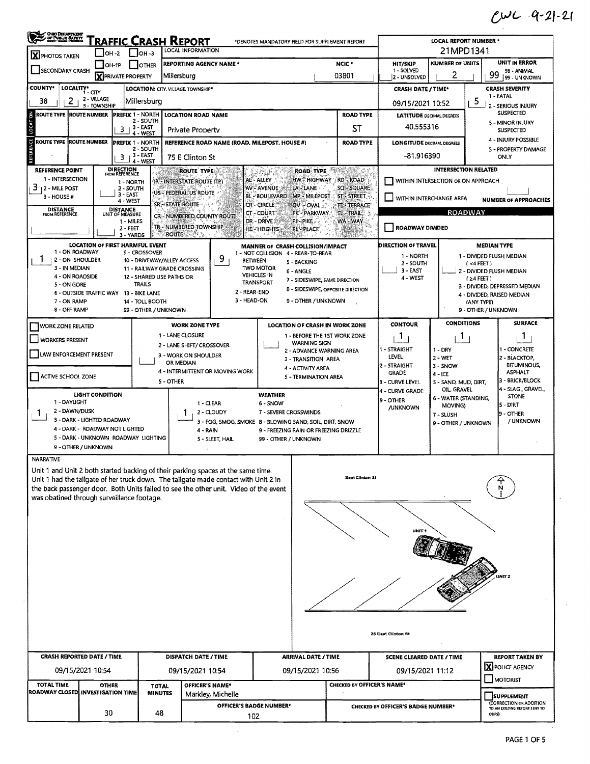$CUC$   $Q-Z$ -21

| <b>CHIO DEPARTMENT</b>                                                                                                                           | <u> Traffic Crash Report</u>                                                                                                                         | LOCAL REPORT NUMBER *                                                                                                                                                           |                  |                                                                                                                                                                                                                                                                 |                                                                                                                                                                                    |                                                                                                          |                                                                                                            |                                                                                   |                                                                                     |                                     |                                                                                                                                                                  |  |  |
|--------------------------------------------------------------------------------------------------------------------------------------------------|------------------------------------------------------------------------------------------------------------------------------------------------------|---------------------------------------------------------------------------------------------------------------------------------------------------------------------------------|------------------|-----------------------------------------------------------------------------------------------------------------------------------------------------------------------------------------------------------------------------------------------------------------|------------------------------------------------------------------------------------------------------------------------------------------------------------------------------------|----------------------------------------------------------------------------------------------------------|------------------------------------------------------------------------------------------------------------|-----------------------------------------------------------------------------------|-------------------------------------------------------------------------------------|-------------------------------------|------------------------------------------------------------------------------------------------------------------------------------------------------------------|--|--|
| X PHOTOS TAKEN                                                                                                                                   | I ОН -2                                                                                                                                              | $1$ Joh-3                                                                                                                                                                       |                  | LOCAL INFORMATION                                                                                                                                                                                                                                               |                                                                                                                                                                                    |                                                                                                          |                                                                                                            |                                                                                   | 21MPD1341                                                                           |                                     |                                                                                                                                                                  |  |  |
| <b>SECONDARY CRASH</b>                                                                                                                           | <b>REPORTING AGENCY NAME *</b><br>OH-1P<br><b>I</b> JOTHER<br><b>X</b> PRIVATE PROPERTY<br>Millersburg                                               |                                                                                                                                                                                 |                  |                                                                                                                                                                                                                                                                 |                                                                                                                                                                                    | NCIC *<br>03801                                                                                          |                                                                                                            |                                                                                   | <b>NUMBER OF UNITS</b><br>2                                                         |                                     | <b>UNIT IN ERROR</b><br>98 - ANIMAL<br>99<br>99 - UNKNOWN                                                                                                        |  |  |
| <b>COUNTY*</b>                                                                                                                                   | LOCALITY CITY                                                                                                                                        |                                                                                                                                                                                 |                  | LOCATION: CITY. VILLAGE. TOWNSHIP*                                                                                                                                                                                                                              |                                                                                                                                                                                    |                                                                                                          |                                                                                                            | <b>2 - UNSOLVED</b><br><b>CRASH DATE / TIME*</b>                                  |                                                                                     |                                     | <b>CRASH SEVERITY</b>                                                                                                                                            |  |  |
| 38<br>2                                                                                                                                          | 2 - VILLAGE<br>3 - TOWNSHIP                                                                                                                          | Millersburg                                                                                                                                                                     |                  |                                                                                                                                                                                                                                                                 | 09/15/2021 10:52                                                                                                                                                                   | 1 - FATAL<br>2 - SERIOUS INJURY                                                                          |                                                                                                            |                                                                                   |                                                                                     |                                     |                                                                                                                                                                  |  |  |
| ROUTE TYPE  ROUTE NUMBER                                                                                                                         |                                                                                                                                                      | <b>PREFIX 1 - NORTH</b><br>2 - SOUTH                                                                                                                                            |                  | <b>LOCATION ROAD NAME</b>                                                                                                                                                                                                                                       |                                                                                                                                                                                    | <b>ROAD TYPE</b>                                                                                         |                                                                                                            | <b>LATITUDE DECIMAL DEGREES</b>                                                   |                                                                                     |                                     | <b>SUSPECTED</b><br>3 - MINOR INJURY                                                                                                                             |  |  |
| LOCATI                                                                                                                                           |                                                                                                                                                      | $\frac{3}{4}$ - EAST                                                                                                                                                            |                  | Private Property                                                                                                                                                                                                                                                | <b>ST</b>                                                                                                                                                                          |                                                                                                          | 40.555316                                                                                                  |                                                                                   |                                                                                     | <b>SUSPECTED</b>                    |                                                                                                                                                                  |  |  |
| ERENCE<br><b>ROUTE TYPE ROUTE NUMBER</b>                                                                                                         |                                                                                                                                                      | <b>PREFIX 1 - NORTH</b><br>REFERENCE ROAD NAME (ROAD, MILEPOST, HOUSE #)<br>$2 - 50$ UTH<br>$3 + 3 - EAST$<br>75 E Clinton St                                                   | <b>ROAD TYPE</b> | <b>LONGITUDE DECIMAL DEGREES</b><br>-81.916390                                                                                                                                                                                                                  |                                                                                                                                                                                    |                                                                                                          | 4 - INJURY POSSIBLE<br><b>5 - PROPERTY DAMAGE</b><br>ONLY                                                  |                                                                                   |                                                                                     |                                     |                                                                                                                                                                  |  |  |
| <b>REFERENCE POINT</b><br>1 - INTERSECTION<br>з<br><b>12 - MILE POST</b><br>3 - HOUSE #<br><b>DISTANCE</b><br>FROM REFERENCE                     |                                                                                                                                                      | 4 - WEST<br><b>DIRECTION</b><br>FROM REFERENCE<br>1 - NORTH<br>2 - SOUTH<br>$3 - EAST$<br>4 - WEST<br><b>DISTANCE</b><br>UNIT OF MEASURE                                        | SR-STATE ROUTE   | <b>ROUTE TYPE:</b><br>IR - INTERSTATE ROUTE (TP)<br>US - FEDERAL US ROUTE                                                                                                                                                                                       | <b>ROAD TYPE</b><br>AL - ALLEY<br>AV-AVENUE<br>LA LANE<br>BL - BOULEVARD<br>CR-CIRCLE<br><b>OV OVAL</b><br>CT - COURT.<br>PK - PARKWAY.                                            | PERMIT<br>13<br>HW: HIGHWAY RD - ROAD<br>SQ-SQUARE<br>MP MILEPOST ST STREET<br>TE-TERRACE<br>$TL - TRAL$ |                                                                                                            | WITHIN INTERCHANGE AREA                                                           | <b>INTERSECTION RELATED</b><br>WITHIN INTERSECTION OR ON APPROACH<br><b>ROADWAY</b> |                                     | <b>NUMBER OF APPROACHES</b>                                                                                                                                      |  |  |
|                                                                                                                                                  |                                                                                                                                                      | 1 - MILES<br>$2 - FEET$                                                                                                                                                         | <b>ROUTE</b>     | CR-NUMBERED COUNTY ROUTE<br>TR - NUMBERED TOWNSHIP<br>STAR R                                                                                                                                                                                                    | <b>DR - DRIVE 2398</b><br>PI-PIKE.<br><b>HE-HEIGHTS</b><br>PL-PLACE                                                                                                                | WA-WAY                                                                                                   |                                                                                                            | ROADWAY DIVIDED                                                                   |                                                                                     |                                     |                                                                                                                                                                  |  |  |
| 1 - ON ROADWAY<br>1.<br>2 - ON SHOULDER<br>3 - IN MEDIAN<br>4 - ON ROADSIDE<br>5 - ON GORE<br>7 - ON RAMP<br>8 - OFF RAMP                        | LOCATION OF FIRST HARMFUL EVENT<br>6 - OUTSIDE TRAFFIC WAY 13 - BIKE LANE                                                                            | 3 - YARDS<br>9 - CROSSOVER<br>10 - DRIVEWAY/ALLEY ACCESS<br>11 - RAILWAY GRADE CROSSING<br>12 - SHARED USE PATHS OR<br><b>TRAILS</b><br>14 - TOLL BOOTH<br>99 - OTHER / UNKNOWN |                  | 9<br>2 - REAR-END<br>3 - HEAD-ON                                                                                                                                                                                                                                | MANNER OF CRASH COLLISION/IMPACT<br>1 - NOT COLLISION 4 - REAR-TO-REAR<br><b>BETWEEN</b><br>5 - BACKING<br><b>TWO MOTOR</b><br>6 - ANGLE<br><b>VEHICLES IN</b><br><b>TRANSPORT</b> | 7 - SIDESWIPE, SAME DIRECTION<br>8 - SIDESWIPE, OPPOSITE DIRECTION<br>9 - OTHER / UNKNOWN                |                                                                                                            | <b>DIRECTION OF TRAVEL</b><br>1 - NORTH<br>$2 - 50$ UTH<br>$3 - EAST$<br>4 - WEST |                                                                                     | (4FEE)<br>$(24$ FEET)<br>(ANY TYPE) | <b>MEDIAN TYPE</b><br>1 - DIVIDED FLUSH MEDIAN<br>2 - DIVIDED FLUSH MEDIAN<br>3 - DIVIDED, DEPRESSED MEDIAN<br>4 - DIVIDED, RAISED MEDIAN<br>9 - OTHER / UNKNOWN |  |  |
| <b>WORK ZONE RELATED</b><br><b>WORKERS PRESENT</b><br><b>LAW ENFORCEMENT PRESENT</b><br>ACTIVE SCHOOL ZONE                                       |                                                                                                                                                      |                                                                                                                                                                                 |                  | <b>WORK ZONE TYPE</b><br>1 - LANE CLOSURE<br>2 - LANE SHIFT/ CROSSOVER<br>3 - WORK ON SHOULDER<br>OR MEDIAN<br>4 - INTERMITTENT OR MOVING WORK                                                                                                                  | <b>WARNING SIGN</b><br>3 - TRANSITION AREA<br><b>4 - ACTIVITY AREA</b><br>5 - TERMINATION AREA                                                                                     | <b>LOCATION OF CRASH IN WORK ZONE</b><br>1 - BEFORE THE 1ST WORK ZONE<br>2 - ADVANCE WARNING AREA        |                                                                                                            | <b>CONTOUR</b><br>1<br>1 - STRAIGHT<br>LEVEL<br>2 - STRAIGHT<br><b>GRADE</b>      | <b>CONDITIONS</b><br>-1<br>$1 - DRY$<br>$2 - WET$<br>$3 - SNOW$<br>$4 - ICE$        |                                     | <b>SURFACE</b><br>Л.<br>I - CONCRETE<br>2 - BLACKTOP,<br><b>BITUMINOUS,</b><br><b>ASPHALT</b>                                                                    |  |  |
| 1 - DAYLIGHT<br>2 - DAWN/DUSK<br>Т.                                                                                                              | <b>LIGHT CONDITION</b><br>3 - DARK - LIGHTED ROADWAY<br>4 - DARK - ROADWAY NOT LIGHTED<br>5 - DARK - UNKNOWN ROADWAY LIGHTING<br>9 - OTHER / UNKNOWN |                                                                                                                                                                                 | <b>S-OTHER</b>   | 1 - CLEAR<br>2 - CLOUDY<br>3 - FOG, SMOG, SMOKE B - BLOWING SAND, SOIL, DIRT, SNOW<br>4 - RAIN<br>5 - SLEET, HAIL                                                                                                                                               |                                                                                                                                                                                    | 3 - CURVE LEVEL<br>4 - CURVE GRADE<br>9 - OTHER<br><b>JUNKNOWN</b>                                       | 5 - SAND, MUD, DIRT,<br>OIL, GRAVEL<br>6 - WATER (STANDING,<br>MOVING)<br>7 - SLUSH<br>9 - OTHER / UNKNOWN |                                                                                   | <b>1</b> 4 - SLAG , GRAVEL,<br><b>STONE</b><br>5 DIRT<br>9 - OTHER<br>/ UNKNOWN     |                                     |                                                                                                                                                                  |  |  |
| NARRATIVE<br>was obatined through surveillance footage.                                                                                          |                                                                                                                                                      |                                                                                                                                                                                 |                  | Unit 1 and Unit 2 both started backing of their parking spaces at the same time.<br>Unit 1 had the tailgate of her truck down. The tailgate made contact with Unit 2 in<br>the back passenger door. Both Units failed to see the other unit. Video of the event |                                                                                                                                                                                    | East Clinton St                                                                                          |                                                                                                            |                                                                                   |                                                                                     |                                     |                                                                                                                                                                  |  |  |
|                                                                                                                                                  |                                                                                                                                                      |                                                                                                                                                                                 |                  |                                                                                                                                                                                                                                                                 |                                                                                                                                                                                    |                                                                                                          |                                                                                                            | UNIT <sup>.</sup>                                                                 |                                                                                     |                                     |                                                                                                                                                                  |  |  |
|                                                                                                                                                  |                                                                                                                                                      |                                                                                                                                                                                 |                  |                                                                                                                                                                                                                                                                 |                                                                                                                                                                                    |                                                                                                          |                                                                                                            | 76 East Clinton St                                                                |                                                                                     |                                     |                                                                                                                                                                  |  |  |
| <b>CRASH REPORTED DATE / TIME</b>                                                                                                                |                                                                                                                                                      |                                                                                                                                                                                 |                  | DISPATCH DATE / TIME                                                                                                                                                                                                                                            | ARRIVAL DATE / TIME                                                                                                                                                                |                                                                                                          |                                                                                                            |                                                                                   |                                                                                     |                                     | <b>REPORT TAKEN BY</b><br><b>X</b> POLICE AGENCY                                                                                                                 |  |  |
|                                                                                                                                                  | 09/15/2021 10:54                                                                                                                                     |                                                                                                                                                                                 |                  | 09/15/2021 10:54                                                                                                                                                                                                                                                | 09/15/2021 10:56                                                                                                                                                                   |                                                                                                          |                                                                                                            | 09/15/2021 11:12                                                                  |                                                                                     |                                     | <b>MOTORIST</b>                                                                                                                                                  |  |  |
| <b>TOTAL TIME</b><br>OFFICER'S NAME*<br><b>OTHER</b><br><b>TOTAL</b><br>ROADWAY CLOSED INVESTIGATION TIME<br><b>MINUTES</b><br>Markley, Michelle |                                                                                                                                                      |                                                                                                                                                                                 |                  |                                                                                                                                                                                                                                                                 |                                                                                                                                                                                    | CHECKED BY OFFICER'S NAME*                                                                               |                                                                                                            |                                                                                   |                                                                                     |                                     | <b>SUPPLEMENT</b>                                                                                                                                                |  |  |
|                                                                                                                                                  |                                                                                                                                                      |                                                                                                                                                                                 |                  |                                                                                                                                                                                                                                                                 | OFFICER'S BADGE NUMBER*                                                                                                                                                            |                                                                                                          |                                                                                                            |                                                                                   |                                                                                     |                                     | <b><i>ICORRECTION OR ADDITION</i></b>                                                                                                                            |  |  |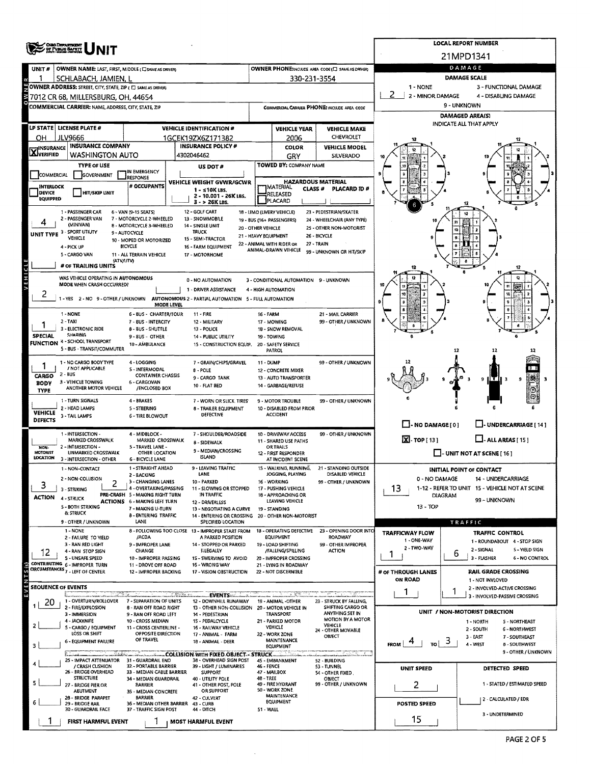|                                  | <b>OISO DEPARTMENT</b><br>OF PUBLIC SAFETY                                          |                                                                        | <b>LOCAL REPORT NUMBER</b>                                                     |                                                          |                                                    |                                            |                                             |                                                                    |  |  |  |  |
|----------------------------------|-------------------------------------------------------------------------------------|------------------------------------------------------------------------|--------------------------------------------------------------------------------|----------------------------------------------------------|----------------------------------------------------|--------------------------------------------|---------------------------------------------|--------------------------------------------------------------------|--|--|--|--|
|                                  |                                                                                     |                                                                        |                                                                                |                                                          |                                                    |                                            |                                             | 21MPD1341                                                          |  |  |  |  |
| UNIT#                            | OWNER NAME: LAST, FIRST, MIDDLE (C) SAME AS DRIVERY                                 |                                                                        | DAMAGE                                                                         |                                                          |                                                    |                                            |                                             |                                                                    |  |  |  |  |
|                                  | SCHLABACH, JAMIEN, L<br>OWNER ADDRESS: STREET, CITY, STATE, ZIP ( C SAME AS DRIVER) |                                                                        | 330-231-3554                                                                   | <b>DAMAGE SCALE</b><br>1 - NONE<br>3 - FUNCTIONAL DAMAGE |                                                    |                                            |                                             |                                                                    |  |  |  |  |
|                                  | 3 7012 CR 68, MILLERSBURG, OH, 44654                                                |                                                                        |                                                                                |                                                          |                                                    |                                            | 2 - MINOR DAMAGE                            | 4 - DISABLING DAMAGE                                               |  |  |  |  |
|                                  | <b>COMMERCIAL CARRIER: NAME, ADDRESS, CITY, STATE, ZIP</b>                          |                                                                        | COMMERCIAL CARRIER PHONE: INCLUDE AREA CODE                                    |                                                          | 9 - UNKNOWN                                        |                                            |                                             |                                                                    |  |  |  |  |
|                                  |                                                                                     |                                                                        |                                                                                |                                                          |                                                    |                                            |                                             | <b>DAMAGED AREA(S)</b>                                             |  |  |  |  |
|                                  | LP STATE   LICENSE PLATE #                                                          |                                                                        | <b>VEHICLE IDENTIFICATION #</b>                                                |                                                          | <b>VEHICLE YEAR</b>                                | <b>VEHICLE MAKE</b>                        |                                             | INDICATE ALL THAT APPLY                                            |  |  |  |  |
| OН                               | <b>JLV9666</b>                                                                      |                                                                        | 1GCEK19ZX6Z171382                                                              |                                                          | 2006                                               | CHEVROLET                                  |                                             |                                                                    |  |  |  |  |
| <b>X</b> INSURANCE               | <b>INSURANCE COMPANY</b><br><b>WASHINGTON AUTO</b>                                  |                                                                        | <b>INSURANCE POLICY #</b><br>4302046462                                        |                                                          | <b>COLOR</b><br>GRY                                | <b>VEHICLE MODEL</b><br>SILVERADO          |                                             |                                                                    |  |  |  |  |
|                                  | <b>TYPE OF USE</b>                                                                  |                                                                        | US DOT#                                                                        |                                                          | TOWED BY: COMPANY NAME                             |                                            |                                             |                                                                    |  |  |  |  |
| COMMERCIAL                       | GOVERNMENT                                                                          | IN EMERGENCY<br><b>IRESPONSE</b>                                       |                                                                                |                                                          |                                                    |                                            |                                             |                                                                    |  |  |  |  |
| <b>INTERLOCK</b>                 |                                                                                     | # OCCUPANTS                                                            | VEHICLE WEIGHT GVWR/GCWR<br>1 - ≤10K LBS.                                      |                                                          | <b>HAZARDOUS MATERIAL</b><br>IMATERIAL.<br>CLASS # | PLACARD 1D #                               |                                             |                                                                    |  |  |  |  |
| <b>DEVICE</b><br><b>EQUIPPED</b> | <b>HIT/SKIP UNIT</b>                                                                |                                                                        | 2 - 10.001 - 26K LBS,<br>3 - > 26K LBS.                                        | RELEASED<br>PLACARD                                      |                                                    |                                            |                                             |                                                                    |  |  |  |  |
|                                  | 1 - PASSENGER CAR                                                                   | 6 - VAN (9-15 SEATS)                                                   | 12 - GOLF CART                                                                 |                                                          | 18 - LIMO (LIVERY VEHICLE)                         | 23 - PEDESTRIAN/SKATER                     |                                             |                                                                    |  |  |  |  |
|                                  | 2 - PASSENGER VAN<br>(MINIVAN)                                                      | 7 - MOTORCYCLE 2-WHEELED<br>8 - MOTORCYCLE 3-WHEELED                   | 13 - SNOWMOBILE<br>14 - SINGLE UNIT                                            |                                                          | 19 - BUS (16+ PASSENGERS)                          | 24 - WHEELCHAIR (ANY TYPE)                 |                                             |                                                                    |  |  |  |  |
|                                  | UNIT TYPE 3 - SPORT UTIUTY<br>VEHICLE                                               | 9 - AUTOCYCLE                                                          | <b>TRUCK</b><br>15 - SEMI-TRACTOR                                              | 20 - OTHER VEHICLE<br>21 - HEAVY EQUIPMENT               |                                                    | 25 - OTHER NON-MOTORIST<br>26 - BICYCLE    | 10                                          |                                                                    |  |  |  |  |
|                                  | 4 - PICK UP                                                                         | 10 - MOPED OR MOTORIZED<br><b>BICYCLE</b>                              | 16 - FARM EQUIPMENT                                                            |                                                          | 22 - ANIMAL WITH RIDER OR<br>ANIMAL-DRAWN VEHICLE  | 27 - TRAIN                                 |                                             |                                                                    |  |  |  |  |
|                                  | 5 - CARGO VAN<br>(ATV/UTV)                                                          | 11 - ALL TERRAIN VEHICLE                                               | 17 - MOTORHOME                                                                 |                                                          |                                                    | 99 - UNKNOWN OR HIT/SKIP                   |                                             |                                                                    |  |  |  |  |
|                                  | # OF TRAILING UNITS                                                                 |                                                                        |                                                                                |                                                          |                                                    |                                            |                                             |                                                                    |  |  |  |  |
| x                                | WAS VEHICLE OPERATING IN AUTONOMOUS                                                 |                                                                        | 0 - NO AUTOMATION                                                              |                                                          | 3 - CONDITIONAL AUTOMATION 9 - UNKNOWN             |                                            |                                             |                                                                    |  |  |  |  |
| 2                                | MODE WHEN CRASH OCCURRED?                                                           |                                                                        | 1 - DRIVER ASSISTANCE                                                          |                                                          | 4 - HIGH AUTOMATION                                |                                            | 10                                          |                                                                    |  |  |  |  |
|                                  |                                                                                     | MODE LEVEL                                                             | 1-YES 2-NO 9-OTHER/UNKNOWN AUTONOMOUS 2-PARTIAL AUTOMATION 5-FULL AUTOMATION   |                                                          |                                                    |                                            |                                             |                                                                    |  |  |  |  |
|                                  | 1 - NONE                                                                            | 6 - BUS - CHARTER/TOUR                                                 | $11 - FIRE$                                                                    | 16 - FARM                                                |                                                    | 21 - MAIL CARRIER                          |                                             |                                                                    |  |  |  |  |
|                                  | 2 - TAXI<br>3 - ELECTRONIC RIDE                                                     | 7 - BUS - INTERCITY<br><b>8-BUS-SHUTTLE</b>                            | 12 - MILITARY<br>13 - POLICE                                                   |                                                          | 17 - MOWING<br>18 - SNOW REMOVAL                   | 99 - OTHER / UNKNOWN                       |                                             |                                                                    |  |  |  |  |
| SPECIAL                          | SHARING                                                                             | $9 - BUS - OTHER$                                                      | 14 - PUBLIC UTILITY                                                            |                                                          | 19 - TOWING                                        |                                            |                                             |                                                                    |  |  |  |  |
|                                  | <b>FUNCTION 4 - SCHOOL TRANSPORT</b><br>5 - BUS - TRANSIT/COMMUTER                  | 10 - AMBULANCE                                                         | 15 - CONSTRUCTION EQUIP.                                                       |                                                          | 20 - SAFETY SERVICE<br><b>PATROL</b>               |                                            |                                             | 12<br>12                                                           |  |  |  |  |
|                                  | 1 - NO CARGO BODY TYPE                                                              | 4 - LOGGING                                                            | 7 - GRAIN/CHIPS/GRAVEL                                                         | 11 - DUMP                                                |                                                    | 99 - OTHER / UNKNOWN                       |                                             |                                                                    |  |  |  |  |
| CARGO                            | / NOT APPLICABLE<br>2 - BUS                                                         | 5 - INTERMODAL<br><b>CONTAINER CHASSIS</b>                             | $8 - POLE$                                                                     |                                                          | 12 - CONCRETE MIXER                                |                                            |                                             |                                                                    |  |  |  |  |
| <b>BODY</b>                      | 3 - VEHICLE TOWING                                                                  | 6 - CARGOVAN                                                           | 9 - CARGO TANK<br>10 - FLAT BED                                                |                                                          | 13 - AUTO TRANSPORTER<br>14 - GARBAGE/REFUSE       |                                            |                                             | $\mathbf{R}$<br>9<br>9                                             |  |  |  |  |
| <b>TYPE</b>                      | ANOTHER MOTOR VEHICLE                                                               | /ENCLOSED BOX                                                          |                                                                                |                                                          |                                                    |                                            |                                             |                                                                    |  |  |  |  |
|                                  | 1 - TURN SIGNALS<br>2 - HEAD LAMPS                                                  | 4 - BRAKES<br><b>S-STEERING</b>                                        | 7 - WORN OR SLICK. TIRES<br>8 - TRAILER EQUIPMENT                              |                                                          | 9 - MOTOR TROUBLE<br>10 - DISABLED FROM PRIOR      | 99 - OTHER / UNKNOWN                       |                                             |                                                                    |  |  |  |  |
| <b>VEHICLE</b><br><b>DEFECTS</b> | 3 - TAIL LAMPS                                                                      | <b>6 - TIRE BLOWOUT</b>                                                | DEFECTIVE                                                                      |                                                          | <b>ACCIDENT</b>                                    |                                            |                                             |                                                                    |  |  |  |  |
|                                  | 1 - INTERSECTION -                                                                  | 4 - MIDBLOCK -                                                         |                                                                                |                                                          | 10 - DRIVEWAY ACCESS                               |                                            | $\Box$ - NO DAMAGE $[0]$                    | <b>LI-UNDERCARRIAGE [14]</b>                                       |  |  |  |  |
|                                  | MARKED CROSSWALK                                                                    | MARKED CROSSWALK                                                       | 7 - SHOULDER/ROADSIDE<br><b>B - SIDEWALK</b>                                   |                                                          | 11 - SHARED USE PATHS                              | 99 - OTHER / UNKNOWN                       | $X - \mathsf{TOP}[13]$                      | $\Box$ - ALL AREAS [ 15 ]                                          |  |  |  |  |
| NON-<br><b>MOTORIST</b>          | 2 - INTERSECTION -<br>UNMARKED CROSSWALK                                            | 5 - TRAVEL LANE -<br>OTHER LOCATION                                    | 9 - MEDIAN/CROSSING                                                            |                                                          | <b>OR TRAILS</b><br>12 - FIRST RESPONDER           |                                            |                                             | $\Box$ - UNIT NOT AT SCENE [ 16 ]                                  |  |  |  |  |
| LOCATION                         | 3 - INTERSECTION - OTHER                                                            | <b>6 - BICYCLE LANE</b><br>1 - STRAIGHT AHEAD                          | <b>ISLAND</b><br>9 - LEAVING TRAFFIC                                           |                                                          | AT INCIDENT SCENE<br>15 - WALKING, RUNNING,        | 21 - STANDING OUTSIDE                      |                                             |                                                                    |  |  |  |  |
|                                  | 1 - NON-CONTACT<br>2 - NON-COLLISION                                                | 2 - BACKING                                                            | LANE                                                                           |                                                          | JOGGING, PLAYING                                   | DISABLED VEHICLE                           | 0 - NO DAMAGE                               | <b>INITIAL POINT OF CONTACT</b><br>14 - UNDERCARRIAGE              |  |  |  |  |
| 3                                | 2<br>3 - STRIKING                                                                   | 3 - CHANGING LANES<br>4 - OVERTAKING/PASSING                           | 10 - PARKED<br>11 - SLOWING OR STOPPED                                         |                                                          | 16 - WORKING<br>17 - PUSHING VEHICLE               | 99 - OTHER / UNKNOWN                       | 13                                          | 1-12 - REFER TO UNIT 15 - VEHICLE NOT AT SCENE                     |  |  |  |  |
| <b>ACTION</b>                    | 4 - STRUCK                                                                          | PRE-CRASH 5 - MAKING RIGHT TURN<br><b>ACTIONS 6 - MAKING LEFT TURN</b> | IN TRAFFIC<br>12 - DRIVERLESS                                                  |                                                          | 18 - APPROACHING OR<br>LEAVING VEHICLE             |                                            |                                             | <b>DIAGRAM</b><br>99 – UNKNOWN                                     |  |  |  |  |
|                                  | 5 - BOTH STRIKING<br>& STRUCK                                                       | 7 - MAKING U-TURN                                                      | 13 - NEGOTIATING A CURVE                                                       |                                                          | 19 - STANDING                                      |                                            | 13 - TOP                                    |                                                                    |  |  |  |  |
|                                  | 9 - OTHER / UNKNOWN                                                                 | 8 - ENTERING TRAFFIC<br>LANE                                           | 14 - ENTERING OR CROSSING 20 - OTHER NON-MOTORIST<br><b>SPECIFIED LOCATION</b> |                                                          |                                                    |                                            |                                             | TRAFFIC                                                            |  |  |  |  |
|                                  | 1 - NONE                                                                            | /ACDA                                                                  | 8 - FOLLOWING TOO CLOSE 13 - IMPROPER START FROM<br>A PARKED POSITION          |                                                          | 18 - OPERATING DEFECTIVE<br><b>EQUIPMENT</b>       | 23 - OPENING DOOR INTO<br>ROADWAY          | <b>TRAFFICWAY FLOW</b>                      | <b>TRAFFIC CONTROL</b>                                             |  |  |  |  |
|                                  | 2 - FAILURE TO YIELD<br>3 - RAN RED LIGHT                                           | 9 - IMPROPER LANE                                                      | 14 - STOPPED OR PARKED                                                         |                                                          | 19 - LOAD SHIFTING                                 | 99 - OTHER IMPROPER                        | 1 - ONE-WAY<br>2 - TWO-WAY                  | 1 - ROUNDABOUT 4 - STOP SIGN                                       |  |  |  |  |
| 12                               | 4 - RAN STOP SIGN<br>5 - UNSAFE SPEED                                               | CHANGE<br>10 - IMPROPER PASSING                                        | ILLEGALLY<br>1S - SWERVING TO AVOID                                            |                                                          | /FALLING/SPILLING<br>20 - IMPROPER CROSSING        | <b>ACTION</b>                              | 1                                           | 2 - SIGNAL<br>5 - YIELD SIGN<br>6<br>3 - FLASHER<br>6 - NO CONTROL |  |  |  |  |
|                                  | CONTRIBUTING 6-IMPROPER TURN<br>CIRCUMSTANCES <sub>7</sub> - LEFT OF CENTER         | 11 - DROVE OFF ROAD                                                    | 16 - WRONG WAY                                                                 |                                                          | 21 - LYING IN ROADWAY                              |                                            |                                             |                                                                    |  |  |  |  |
|                                  |                                                                                     | 12 - IMPROPER BACKING                                                  | 17 - VISION OBSTRUCTION                                                        |                                                          | 22 - NOT DISCERNIBLE                               |                                            | # OF THROUGH LANES<br>ON ROAD               | <b>RAIL GRADE CROSSING</b><br>1 - NOT INVLOVED                     |  |  |  |  |
|                                  | <b>SEOUENCE OF EVENTS</b>                                                           |                                                                        |                                                                                |                                                          |                                                    |                                            | 1                                           | 2 - INVOLVED-ACTIVE CROSSING<br>1                                  |  |  |  |  |
| 20                               | 1 - OVERTURN/ROLLOVER                                                               | 7 - SEPARATION OF UNITS                                                | <b>EVENTS</b><br>12 - DOWNHILL RUNAWAY                                         |                                                          | 19 - ANIMAL -OTHER                                 | 23 - STRUCK BY FALLING,                    |                                             | 3 - INVOLVED-PASSIVE CROSSING                                      |  |  |  |  |
|                                  | 2 - FIRE/EXPLOSION<br>3 - IMMERSION                                                 | 8 - RAN OFF ROAD RIGHT<br>9 - RAN OFF ROAD LEFT                        | 13 - OTHER NON-COLLISION<br>14 - PEDESTRIAN                                    |                                                          | 20 - MOTOR VEHICLE IN<br>TRANSPORT                 | SHIFTING CARGO OR<br>ANYTHING SET IN       |                                             | UNIT / NON-MOTORIST DIRECTION                                      |  |  |  |  |
|                                  | 4 - JACKKNIFE<br>5 - CARGO / EQUIPMENT                                              | 10 - CROSS MEDIAN<br>11 - CROSS CENTERLINE -                           | 15 - PEDALCYCLE<br>16 - RAILWAY VEHICLE                                        |                                                          | 21 - PARKED MOTOR<br>VEHICLE                       | <b>MOTION BY A MOTOR</b><br><b>VEHICLE</b> |                                             | 1 - NORTH<br>5 - NORTHEAST<br>2 - SOUTH<br><b>6 - NORTHWEST</b>    |  |  |  |  |
|                                  | LOSS OR SHIFT                                                                       | <b>OPPOSITE DIRECTION</b><br>OF TRAVEL                                 | 17 - ANIMAL - FARM                                                             |                                                          | 22 - WORK ZONE<br>MAINTENANCE                      | 24 - OTHER MOVABLE<br>OBJECT               |                                             | $3 - EAST$<br>7 - SOUTHEAST                                        |  |  |  |  |
|                                  | <b>6 - EQUIPMENT FAILURE</b>                                                        |                                                                        | 18 - ANIMAL - DEER                                                             |                                                          | EQUIPMENT                                          |                                            | <b>FROM</b><br>TO                           | 3<br>4 - WEST<br>8 - SOUTHWEST<br>9 - OTHER / UNKNOWN              |  |  |  |  |
|                                  | 25 - IMPACT ATTENUATOR 31 - GUARDRAIL END                                           | ستخبث                                                                  | COLLISION WITH FIXED OBJECT - STRUCK<br>38 - OVERHEAD SIGN POST                |                                                          | 45 - EMBANKMENT                                    | 52 - BUILDING                              |                                             |                                                                    |  |  |  |  |
|                                  | / CRASH CUSHION<br>26 - BRIDGE OVERHEAD                                             | 32 - PORTABLE BARRIER<br>33 - MEDIAN CABLE BARRIER                     | 39 - LIGHT / LUMINARIES<br><b>SUPPORT</b>                                      | 46 - FENCE                                               | 47 - MAILBOX                                       | 53 - TUNNEL<br>54 - OTHER FIXED            | <b>UNIT SPEED</b>                           | DETECTED SPEED                                                     |  |  |  |  |
| 5                                | <b>STRUCTURE</b><br>- BRIDGE PIER OR<br>27                                          | 34 - MEDIAN GUARDRAIL<br><b>BARRIER</b>                                | 40 - UTILITY POLE<br>41 - OTHER POST, POLE                                     | 48 - TREE                                                | 49 - FIRE HYDRANT                                  | OBJECT<br>99 - OTHER / UNKNOWN             | 2                                           | 1 - STATED / ESTIMATED SPEED                                       |  |  |  |  |
|                                  | <b>ABUTMENT</b><br>28 - BRIDGE PARAPET                                              | 35 - MEDIAN CONCRETE<br><b>BARRIER</b>                                 | OR SUPPORT<br>42 - CULVERT                                                     |                                                          | 50 - WORK ZONE<br><b>MAINTENANCE</b>               |                                            |                                             |                                                                    |  |  |  |  |
|                                  | 29 - BRIDGE RAIL<br>30 - GUARDRAIL FACE                                             | 36 - MEDIAN OTHER BARRIER<br>37 - TRAFFIC SIGN POST                    | 43 - CURB<br>44 - DITCH                                                        | 51 - WALL                                                | <b>EQUIPMENT</b>                                   |                                            | 2 - CALCULATED / EDR<br><b>POSTED SPEED</b> |                                                                    |  |  |  |  |
|                                  |                                                                                     |                                                                        |                                                                                |                                                          |                                                    |                                            | 15                                          | 3 - UNDETERMINED                                                   |  |  |  |  |
|                                  | FIRST HARMFUL EVENT                                                                 |                                                                        | <b>MOST HARMFUL EVENT</b>                                                      |                                                          |                                                    |                                            |                                             |                                                                    |  |  |  |  |

 $\hat{\mathcal{A}}$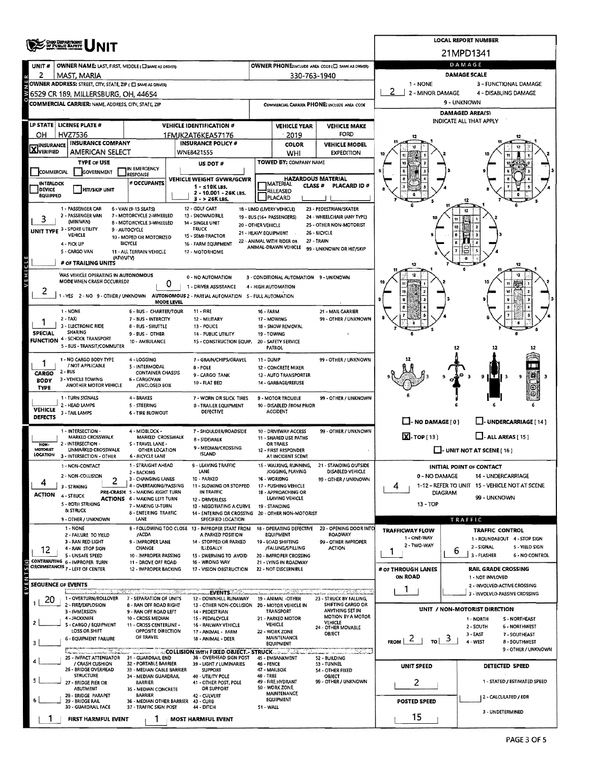|                                                                                                                                                | <b>ONO DEPARTMENT</b>                                              |                                                          | <b>LOCAL REPORT NUMBER</b>                                                            |                                                                                |                                                 |                                            |                                       |                                                                      |  |  |  |  |
|------------------------------------------------------------------------------------------------------------------------------------------------|--------------------------------------------------------------------|----------------------------------------------------------|---------------------------------------------------------------------------------------|--------------------------------------------------------------------------------|-------------------------------------------------|--------------------------------------------|---------------------------------------|----------------------------------------------------------------------|--|--|--|--|
|                                                                                                                                                |                                                                    |                                                          |                                                                                       |                                                                                |                                                 |                                            |                                       | 21MPD1341                                                            |  |  |  |  |
| UNIT#                                                                                                                                          | <b>OWNER NAME: LAST, FIRST, MIDDLE (CISAME AS DRIVER)</b>          |                                                          | OWNER PHONE:INCLUDE AREA CODE (E) SAME AS DRIVERY                                     | DAMAGE                                                                         |                                                 |                                            |                                       |                                                                      |  |  |  |  |
| 2                                                                                                                                              | MAST, MARIA                                                        |                                                          | 330-763-1940                                                                          | <b>DAMAGE SCALE</b><br>1 - NONE<br>3 - FUNCTIONAL DAMAGE                       |                                                 |                                            |                                       |                                                                      |  |  |  |  |
| OWNER ADDRESS: STREET, CITY, STATE, ZIP ( C SAME AS DRIVER)<br>2 - MINOR DAMAGE<br>4 - DISABLING DAMAGE<br>6529 CR 189, MILLERSBURG, OH, 44654 |                                                                    |                                                          |                                                                                       |                                                                                |                                                 |                                            |                                       |                                                                      |  |  |  |  |
|                                                                                                                                                | COMMERCIAL CARRIER: NAME, ADDRESS, CITY, STATE, ZIP                |                                                          | 9 - UNKNOWN                                                                           |                                                                                |                                                 |                                            |                                       |                                                                      |  |  |  |  |
|                                                                                                                                                |                                                                    |                                                          |                                                                                       | <b>DAMAGED AREA(S)</b>                                                         |                                                 |                                            |                                       |                                                                      |  |  |  |  |
|                                                                                                                                                | LP STATE   LICENSE PLATE #                                         |                                                          | <b>VEHICLE IDENTIFICATION #</b>                                                       |                                                                                | <b>VEHICLE YEAR</b>                             | <b>VEHICLE MAKE</b>                        |                                       | INDICATE ALL THAT APPLY                                              |  |  |  |  |
| он                                                                                                                                             | HVZ7536                                                            |                                                          | 1FMJK2AT6KEA57176                                                                     |                                                                                | 2019                                            | FORD                                       |                                       |                                                                      |  |  |  |  |
| $\mathbf{X}$ insurance                                                                                                                         | <b>INSURANCE COMPANY</b><br><b>AMERICAN SELECT</b>                 |                                                          | <b>INSURANCE POLICY #</b><br>WNE8421555                                               |                                                                                | COLOR<br>WHI                                    | <b>VEHICLE MODEL</b><br><b>EXPEDITION</b>  |                                       |                                                                      |  |  |  |  |
|                                                                                                                                                | <b>TYPE OF USE</b>                                                 |                                                          | US DOT #                                                                              |                                                                                | TOWED BY: COMPANY NAME                          |                                            |                                       |                                                                      |  |  |  |  |
| <b>COMMERCIAL</b>                                                                                                                              | <b>GOVERNMENT</b>                                                  | IN EMERGENCY<br><b>RESPONSE</b>                          |                                                                                       |                                                                                |                                                 |                                            |                                       |                                                                      |  |  |  |  |
| <b>INTERLOCK</b>                                                                                                                               |                                                                    | # OCCUPANTS                                              | VEHICLE WEIGHT GVWR/GCWR<br>1 - ≤10K LBS.                                             | <b>HAZARDOUS MATERIAL</b><br><b>JMATERIAL</b><br><b>CLASS #</b><br>PLACARD ID# |                                                 |                                            |                                       |                                                                      |  |  |  |  |
| DEVICE<br><b>EQUIPPED</b>                                                                                                                      | HIT/SKIP UNIT                                                      | 2 - 10.001 - 26K LBS.<br>3 - > 26K LBS.                  |                                                                                       |                                                                                | RELEASED<br>PLACARD                             |                                            |                                       |                                                                      |  |  |  |  |
| 1 - PASSENGER CAR<br>6 - VAN (9-15 SEATS)<br>12 - GOLF CART<br>18 - LIMO (LIVERY VEHICLE)<br>23 - PEDESTRIAN/SKATER                            |                                                                    |                                                          |                                                                                       |                                                                                |                                                 |                                            |                                       |                                                                      |  |  |  |  |
| 3                                                                                                                                              | 2 - PASSENGER VAN<br>(MINIVAN)                                     | 7 - MOTORCYCLE 2-WHEELED<br>8 - MOTORCYCLE 3-WHEELED     | 13 - SNOWMOBILE<br>14 - SINGLE UNIT                                                   |                                                                                | 19 - BUS (16+ PASSENGERS)                       | 24 - WHEELCHAIR (ANY TYPE)                 |                                       |                                                                      |  |  |  |  |
|                                                                                                                                                | UNIT TYPE 3 - SPORT UTILITY                                        | 9 - AUTOCYCLE                                            | TRUCK                                                                                 | 20 - OTHER VEHICLE                                                             | 21 - HEAVY EQUIPMENT                            | 25 - OTHER NON-MOTORIST<br>26 - BICYCLE    |                                       | $\overline{10}$                                                      |  |  |  |  |
|                                                                                                                                                | VEHICLE<br>4 - PICK UP                                             | 10 - MOPED OR MOTORIZED<br><b>BICYCLE</b>                | 15 - SEMI-TRACTOR<br>16 - FARM EQUIPMENT                                              |                                                                                | 22 - ANIMAL WITH RIDER OR                       | 27 - TRAIN                                 |                                       |                                                                      |  |  |  |  |
|                                                                                                                                                | 5 - CARGO VAN                                                      | 11 - ALL TERRAIN VEHICLE                                 | 17 - MOTORHOME                                                                        |                                                                                | ANIMAL-DRAWN VEHICLE                            | 99 - UNKNOWN OR HIT/SKIP                   |                                       |                                                                      |  |  |  |  |
|                                                                                                                                                | (ATV/UTV)<br># OF TRAILING UNITS                                   |                                                          |                                                                                       |                                                                                |                                                 |                                            | 12                                    |                                                                      |  |  |  |  |
| VEHICLE                                                                                                                                        | WAS VEHICLE OPERATING IN AUTONOMOUS                                |                                                          | 0 - NO AUTOMATION                                                                     |                                                                                | 3 - CONDITIONAL AUTOMATION 9 - UNKNOWN          |                                            |                                       |                                                                      |  |  |  |  |
|                                                                                                                                                | MODE WHEN CRASH OCCURRED?                                          | 0                                                        | 1 - DRIVER ASSISTANCE                                                                 |                                                                                | 4 - HIGH AUTOMATION                             |                                            |                                       | 11<br>$\overline{\mathbf{u}}$                                        |  |  |  |  |
| 2                                                                                                                                              |                                                                    | MODE LEVEL                                               | -YES 2 - NO 9 - OTHER / UNKNOWN AUTONOMOUS 2 - PARTIAL AUTOMATION 5 - FULL AUTOMATION |                                                                                |                                                 |                                            |                                       |                                                                      |  |  |  |  |
|                                                                                                                                                | 1 - NONE                                                           | 6 - BUS - CHARTER/TOUR                                   | 11 - FIRE                                                                             | 16 - FARM                                                                      |                                                 | 21 - MAIL CARRIER                          |                                       |                                                                      |  |  |  |  |
|                                                                                                                                                | 2 - TAXI                                                           | 7 - BUS - INTERCITY                                      | 12 - MILITARY                                                                         |                                                                                | 17 - MOWING                                     | 99 - OTHER / UNKNOWN                       |                                       |                                                                      |  |  |  |  |
| <b>SPECIAL</b>                                                                                                                                 | 3 - ELECTRONIC RIDE<br><b>SHARING</b>                              | 8 - 8US - SHUTTLE<br>9 - BUS - OTHER                     | 13 - POLICE<br>14 - PUBLIC UTILITY                                                    |                                                                                | 18 - SNOW REMOVAL<br>19 - TOWING                |                                            |                                       |                                                                      |  |  |  |  |
|                                                                                                                                                | <b>FUNCTION 4 - SCHOOL TRANSPORT</b><br>5 - BUS - TRANSIT/COMMUTER | 10 - AMBULANCE                                           | 15 - CONSTRUCTION EQUIP.                                                              |                                                                                | 20 - SAFETY SERVICE                             |                                            |                                       |                                                                      |  |  |  |  |
|                                                                                                                                                |                                                                    |                                                          |                                                                                       |                                                                                | <b>PATROL</b>                                   |                                            |                                       | 12                                                                   |  |  |  |  |
|                                                                                                                                                | 1 - NO CARGO BODY TYPE<br>/ NOT APPLICABLE                         | 4 - LOGGING<br>5 - INTERMODAL                            | 7 - GRAIN/CHIPS/GRAVEL<br>8 - POLE                                                    | 11 - DUMP                                                                      | 12 - CONCRETE MIXER                             | 99 - OTHER / UNKNOWN                       |                                       |                                                                      |  |  |  |  |
| CARGO<br><b>BODY</b>                                                                                                                           | $2 - BUS$<br>3 - VEHICLE TOWING                                    | <b>CONTAINER CHASSIS</b><br>6 - CARGOVAN                 | 9 - CARGO TANK                                                                        |                                                                                | 13 - AUTO TRANSPORTER                           |                                            |                                       | g<br>9                                                               |  |  |  |  |
| <b>TYPE</b>                                                                                                                                    | ANOTHER MOTOR VEHICLE                                              | /ENCLOSED BOX                                            | 10 - FLAT BED                                                                         |                                                                                | 14 - GARBAGE/REFUSE                             |                                            |                                       |                                                                      |  |  |  |  |
|                                                                                                                                                | 1 - TURN SIGNALS<br>2 - HEAD LAMPS                                 | 4 - BRAKES<br>5 - STEERING                               | 7 - WORN OR SLICK TIRES                                                               |                                                                                | 9 - MOTOR TROUBLE                               | 99 - OTHER / UNKNOWN                       |                                       |                                                                      |  |  |  |  |
| <b>VEHICLE</b><br><b>DEFECTS</b>                                                                                                               | 3 - TAIL LAMPS                                                     | <b>6 - TIRE BLOWOUT</b>                                  | 8 - TRAILER EQUIPMENT<br>DEFECTIVE                                                    |                                                                                | 10 - DISABLED FROM PRIOR<br><b>ACCIDENT</b>     |                                            |                                       |                                                                      |  |  |  |  |
|                                                                                                                                                |                                                                    |                                                          |                                                                                       |                                                                                |                                                 |                                            | $\Box$ - NO DAMAGE [ 0 ]              | L. J- UNDERCARRIAGE [ 14 ]                                           |  |  |  |  |
|                                                                                                                                                | 1 - INTERSECTION<br>MARKED CROSSWALK                               | 4 - MIDBLOCK -<br>MARKED CROSSWALK                       | 7 - SHOULDER/ROADSIDE<br>8 - SIDEWALK                                                 |                                                                                | 10 - DRIVEWAY ACCESS<br>11 - SHARED USE PATHS   | 99 - OTHER / UNKNOWN                       | $X - \text{top}(13)$                  | $\Box$ - ALL AREAS [ 15 ]                                            |  |  |  |  |
| NON-<br>MOTORIST                                                                                                                               | 2 - INTERSECTION -<br>UNMARKED CROSSWALK                           | S-TRAVEL LANE-<br>OTHER LOCATION                         | 9 - MEDIAN/CROSSING                                                                   |                                                                                | <b>OR TRAILS</b><br>12 - FIRST RESPONDER        |                                            |                                       | $\Box$ - UNIT NOT AT SCENE [ 16 ]                                    |  |  |  |  |
| LOCATION                                                                                                                                       | 3 - INTERSECTION - OTHER                                           | 6 - BICYCLE LANE                                         | <b>ISLAND</b>                                                                         |                                                                                | AT INCIDENT SCENE                               |                                            |                                       |                                                                      |  |  |  |  |
|                                                                                                                                                | 1 - NON-CONTACT                                                    | 1 - STRAIGHT AHEAD<br>2 - BACKING                        | 9 - LEAVING TRAFFIC<br>LANE                                                           |                                                                                | 15 - WALKING, RUNNING,<br>JOGGING, PLAYING      | 21 - STANDING OUTSIDE<br>DISABLED VEHICLE  |                                       | INITIAL POINT OF CONTACT                                             |  |  |  |  |
|                                                                                                                                                | 2 - NON-COLLISION<br>2                                             | 3 - CHANGING LANES<br>4 - OVERTAKING/PASSING             | 10 - PARKED                                                                           |                                                                                | 16 - WORKING<br>17 - PUSHING VEHICLE            | 99 - OTHER / UNKNOWN                       | 0 - NO DAMAGE                         | 14 - UNDERCARRIAGE<br>1-12 - REFER TO UNIT 15 - VEHICLE NOT AT SCENE |  |  |  |  |
| <b>ACTION</b>                                                                                                                                  | 3 - STRIKING<br>4 - STRUCK                                         | PRE-CRASH 5 - MAKING RIGHT TURN                          | 11 - SLOWING OR STOPPED<br>IN TRAFFIC                                                 |                                                                                | 1B - APPROACHING OR                             |                                            | 4                                     | <b>DIAGRAM</b>                                                       |  |  |  |  |
|                                                                                                                                                | 5 - 80TH STRIKING                                                  | <b>ACTIONS 6 - MAKING LEFT TURN</b><br>7 - MAKING U-TURN | 12 - DRIVERLESS<br>13 - NEGOTIATING A CURVE                                           |                                                                                | LEAVING VEHICLE<br>19 - STANDING                |                                            | 13 - TOP                              | 99 - UNKNOWN                                                         |  |  |  |  |
|                                                                                                                                                | & STRUCK<br>9 - OTHER / UNKNOWN                                    | <b>8 - ENTERING TRAFFIC</b><br>LANE                      | 14 - ENTERING OR CROSSING 20 - OTHER NON-MOTORIST<br>SPECIFIED LOCATION               |                                                                                |                                                 |                                            |                                       | TRAFFIC                                                              |  |  |  |  |
|                                                                                                                                                | 1 - NONE                                                           |                                                          | <b>B - FOLLOWING TOO CLOSE 13 - IMPROPER START FROM</b>                               |                                                                                | 18 - OPERATING DEFECTIVE                        | 23 - OPENING DOOR INTO                     | <b>TRAFFICWAY FLOW</b>                | TRAFFIC CONTROL                                                      |  |  |  |  |
|                                                                                                                                                | 2 - FAILURE TO YIELD<br>3 - RAN RED LIGHT                          | /ACDA<br>9 - IMPROPER LANE                               | A PARKED POSITION<br>14 - STOPPED OR PARKED                                           |                                                                                | <b>EQUIPMENT</b><br>19 - LOAD SHIFTING          | ROADWAY<br>99 - OTHER IMPROPER             | 1 - ONE-WAY                           | 1 - ROUNDABOUT 4 - STOP SIGN                                         |  |  |  |  |
| 12                                                                                                                                             | 4 - RAN STOP SIGN                                                  | CHANGE                                                   | ILLEGALLY                                                                             |                                                                                | /FALLING/SPILLING                               | <b>ACTION</b>                              | 2 - TWO-WAY<br>1.                     | 2 - SIGNAL<br>5 - YIELD SIGN<br>6                                    |  |  |  |  |
|                                                                                                                                                | 5 - UNSAFE SPEED<br>CONTRIBUTING 6 - IMPROPER TURN                 | 10 - IMPROPER PASSING<br>11 - DROVE OFF ROAD             | 15 - SWERVING TO AVOID<br>16 - WRONG WAY                                              |                                                                                | 20 - IMPROPER CROSSING<br>21 - LYING IN ROADWAY |                                            |                                       | 3 - FLASHER<br>6 - NO CONTROL                                        |  |  |  |  |
|                                                                                                                                                | CIRCUMSTANCES 7 - LEFT OF CENTER                                   | 12 - IMPROPER BACKING                                    | 17 - VISION OBSTRUCTION                                                               |                                                                                | 22 - NOT DISCERNIBLE                            |                                            | # OF THROUGH LANES<br>ON ROAD         | <b>RAIL GRADE CROSSING</b><br>1 - NOT INVLOVED                       |  |  |  |  |
| <b>SEQUENCE OF EVENTS</b>                                                                                                                      |                                                                    |                                                          |                                                                                       |                                                                                |                                                 |                                            | 1                                     | 2 - INVOLVED-ACTIVE CROSSING                                         |  |  |  |  |
| 20                                                                                                                                             | 1 - OVERTURN/ROLLOVER                                              | 7 - SEPARATION OF UNITS                                  | <b>EVENTS</b><br>12 - DOWNHILL RUNAWAY                                                |                                                                                | 19 - ANIMAL -OTHER                              | 23 - STRUCK BY FALLING,                    |                                       | 3 - INVOLVED-PASSIVE CROSSING                                        |  |  |  |  |
|                                                                                                                                                | 2 - FIRE/EXPLOSION<br>3 - IMMERSION                                | 8 - RAN OFF ROAD RIGHT<br>9 - RAN OFF ROAD LEFT          | 13 - OTHER NON-COLLISION 20 - MOTOR VEHICLE IN<br>14 - PEDESTRIAN                     |                                                                                | <b>TRANSPORT</b>                                | SHIFTING CARGO OR<br>ANYTHING SET IN       |                                       | UNIT / NON-MOTORIST DIRECTION                                        |  |  |  |  |
|                                                                                                                                                | 4 - JACKKNIFE                                                      | 10 - CROSS MEDIAN                                        | 15 - PEDALCYCLE                                                                       |                                                                                | 21 - PARKED MOTOR                               | <b>MOTION BY A MOTOR</b><br><b>VEHICLE</b> |                                       | 1 - NORTH<br>S-NORTHEAST                                             |  |  |  |  |
|                                                                                                                                                | - CARGO / EQUIPMENT<br>LOSS OR SHIFT                               | 11 - CROSS CENTERLINE -<br>OPPOSITE DIRECTION            | 16 - RAILWAY VEHICLE<br>17 - ANIMAL - FARM                                            |                                                                                | <b>VEHICLE</b><br>22 - WORK ZONE                | 24 - OTHER MOVABLE<br>OBJECT               |                                       | 2 - SOUTH<br><b>6 - NORTHWEST</b><br>3 - EAST<br>7 - SOUTHEAST       |  |  |  |  |
| з                                                                                                                                              | <b>6 - EQUIPMENT FAILURE</b>                                       | OF TRAVEL                                                | 18 - ANIMAL - DEER                                                                    |                                                                                | MAINTENANCE<br><b>EQUIPMENT</b>                 |                                            | $F_{ROM}$   $2$  <br>$\frac{1}{10}$ 3 | 4 - WEST<br>8 - SOUTHWEST                                            |  |  |  |  |
|                                                                                                                                                | a maramatan dan tanggalan.<br>Seorang dipendikan                   |                                                          | <b>ACOLLISION WITH FIXED OBJECT. STRUCK</b> .<br>38 - OVERHEAD SIGN POST              |                                                                                |                                                 |                                            |                                       | 9 - OTHER / UNKNOWN                                                  |  |  |  |  |
|                                                                                                                                                | 25 - IMPACT ATTENUATOR 31 - GUARDRAIL END<br>/ CRASH CUSHION       | 32 - PORTABLE BARRIER                                    | 39 - LIGHT / LUMINARIES                                                               | 46 - FENCE                                                                     | 45 - EMBANKMENT                                 | 52 - BUILDING<br>53 - TUNNEL               | UNIT SPEED                            | DETECTED SPEED                                                       |  |  |  |  |
|                                                                                                                                                | 26 - BRIDGE OVERHEAD<br><b>STRUCTURE</b>                           | 33 - MEDIAN CABLE BARRIER<br>34 - MEDIAN GUARDRAIL       | <b>SUPPORT</b><br>40 - UTILITY POLE                                                   | 48 - TREE                                                                      | 47 - MAILBOX                                    | 54 - OTHER FIXED<br>OBJECT                 |                                       |                                                                      |  |  |  |  |
|                                                                                                                                                | 27 - BRIDGE PIER OR<br>ABUTMENT                                    | <b>BARRIER</b><br>35 - MEDIAN CONCRETE                   | 41 - OTHER POST, POLE<br>OR SUPPORT                                                   | 99 - OTHER / UNKNOWN<br>49 - FIRE HYDRANT<br>50 - WORK ZONE                    |                                                 |                                            | 2                                     | 1 - STATED / ESTIMATED SPEED                                         |  |  |  |  |
|                                                                                                                                                | 28 - BRIDGE PARAPET<br>29 - BRIDGE RAIL                            | <b>BARRIER</b><br>36 - MEDIAN OTHER BARRIER 43 - CURB    | 42 - CULVERT                                                                          |                                                                                | <b>MAINTENANCE</b><br><b>EQUIPMENT</b>          |                                            | POSTED SPEED                          | 2 - CALCULATED / EDR                                                 |  |  |  |  |
|                                                                                                                                                | 30 - GUARDRAIL FACE                                                | 37 - TRAFFIC SIGN POST                                   | 44 - DITCH                                                                            | 51 - WALL                                                                      |                                                 |                                            |                                       | 3 - UNDETERMINED                                                     |  |  |  |  |
|                                                                                                                                                | FIRST HARMFUL EVENT                                                |                                                          | <b>MOST HARMFUL EVENT</b>                                                             |                                                                                |                                                 |                                            | 15                                    |                                                                      |  |  |  |  |